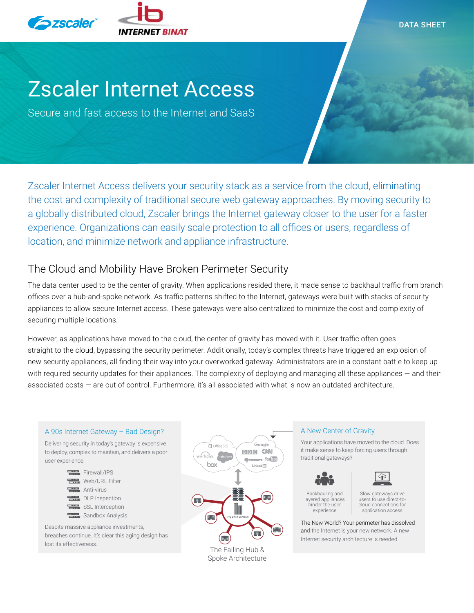

DATA SHEET

# Zscaler Internet Access

Secure and fast access to the Internet and SaaS

Zscaler Internet Access delivers your security stack as a service from the cloud, eliminating the cost and complexity of traditional secure web gateway approaches. By moving security to a globally distributed cloud, Zscaler brings the Internet gateway closer to the user for a faster experience. Organizations can easily scale protection to all offices or users, regardless of location, and minimize network and appliance infrastructure.

# The Cloud and Mobility Have Broken Perimeter Security

The data center used to be the center of gravity. When applications resided there, it made sense to backhaul traffic from branch offices over a hub-and-spoke network. As traffic patterns shifted to the Internet, gateways were built with stacks of security appliances to allow secure Internet access. These gateways were also centralized to minimize the cost and complexity of securing multiple locations.

However, as applications have moved to the cloud, the center of gravity has moved with it. User traffic often goes straight to the cloud, bypassing the security perimeter. Additionally, today's complex threats have triggered an explosion of new security appliances, all finding their way into your overworked gateway. Administrators are in a constant battle to keep up with required security updates for their appliances. The complexity of deploying and managing all these appliances  $-$  and their associated costs — are out of control. Furthermore, it's all associated with what is now an outdated architecture.

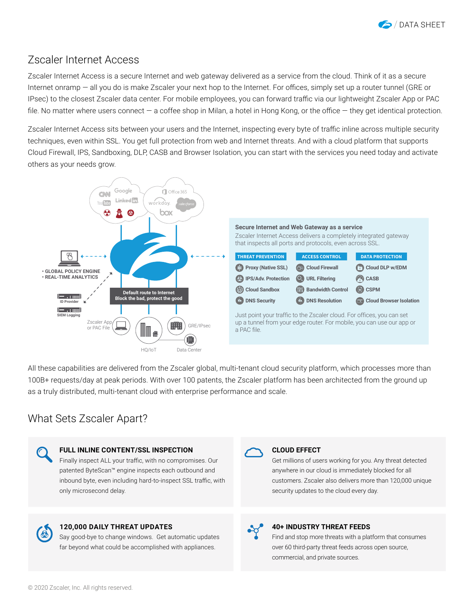

#### Zscaler Internet Access

Zscaler Internet Access is a secure Internet and web gateway delivered as a service from the cloud. Think of it as a secure Internet onramp — all you do is make Zscaler your next hop to the Internet. For offices, simply set up a router tunnel (GRE or IPsec) to the closest Zscaler data center. For mobile employees, you can forward traffic via our lightweight Zscaler App or PAC file. No matter where users connect — a coffee shop in Milan, a hotel in Hong Kong, or the office — they get identical protection.

Zscaler Internet Access sits between your users and the Internet, inspecting every byte of traffic inline across multiple security techniques, even within SSL. You get full protection from web and Internet threats. And with a cloud platform that supports Cloud Firewall, IPS, Sandboxing, DLP, CASB and Browser Isolation, you can start with the services you need today and activate others as your needs grow.



All these capabilities are delivered from the Zscaler global, multi-tenant cloud security platform, which processes more than 100B+ requests/day at peak periods. With over 100 patents, the Zscaler platform has been architected from the ground up as a truly distributed, multi-tenant cloud with enterprise performance and scale.

### What Sets Zscaler Apart?





#### **40+ INDUSTRY THREAT FEEDS**

Find and stop more threats with a platform that consumes over 60 third-party threat feeds across open source, commercial, and private sources.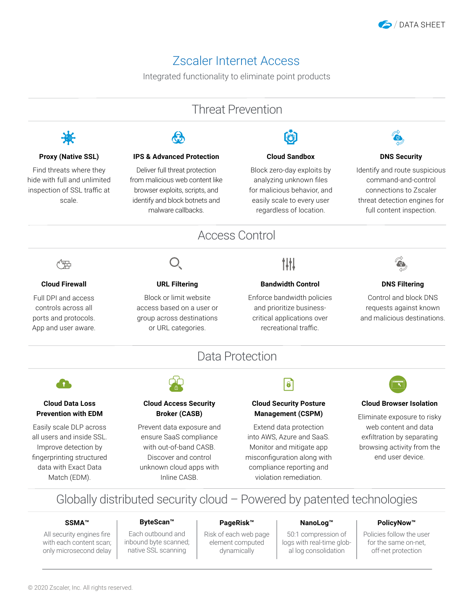

# Zscaler Internet Access

Integrated functionality to eliminate point products



Globally distributed security cloud – Powered by patented technologies

#### **SSMA™**

All security engines fire with each content scan; only microsecond delay

#### **ByteScan™**

Each outbound and inbound byte scanned; native SSL scanning

#### **PageRisk™**

Risk of each web page element computed dynamically

#### **NanoLog™**

50:1 compression of logs with real-time global log consolidation

#### **PolicyNow™**

Policies follow the user for the same on-net, off-net protection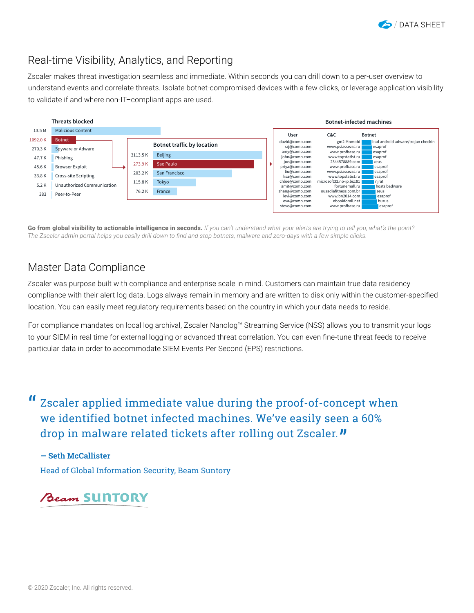

# Real-time Visibility, Analytics, and Reporting

Zscaler makes threat investigation seamless and immediate. Within seconds you can drill down to a per-user overview to understand events and correlate threats. Isolate botnet-compromised devices with a few clicks, or leverage application visibility to validate if and where non-IT–compliant apps are used.



**Go from global visibility to actionable intelligence in seconds.** *If you can't understand what your alerts are trying to tell you, what's the point? The Zscaler admin portal helps you easily drill down to find and stop botnets, malware and zero-days with a few simple clicks.*

### Master Data Compliance

Zscaler was purpose built with compliance and enterprise scale in mind. Customers can maintain true data residency compliance with their alert log data. Logs always remain in memory and are written to disk only within the customer-specified location. You can easily meet regulatory requirements based on the country in which your data needs to reside.

For compliance mandates on local log archival, Zscaler Nanolog™ Streaming Service (NSS) allows you to transmit your logs to your SIEM in real time for external logging or advanced threat correlation. You can even fine-tune threat feeds to receive particular data in order to accommodate SIEM Events Per Second (EPS) restrictions.

## Zscaler applied immediate value during the proof-of-concept when we identified botnet infected machines. We've easily seen a 60% drop in malware related tickets after rolling out Zscaler. **"** "

**— Seth McCallister** Head of Global Information Security, Beam Suntory

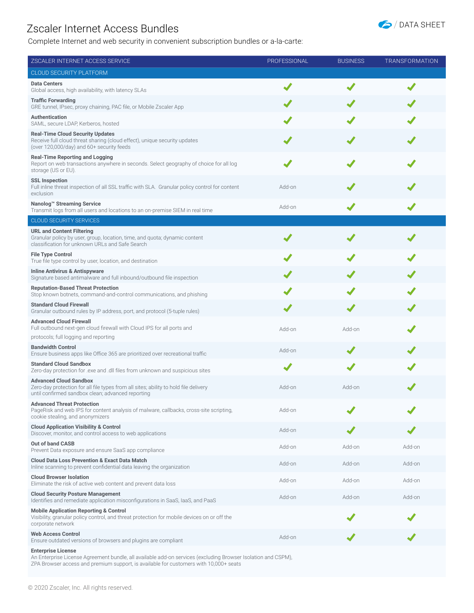## Zscaler Internet Access Bundles

Complete Internet and web security in convenient subscription bundles or a-la-carte:



| ZSCALER INTERNET ACCESS SERVICE                                                                                                                                            | PROFESSIONAL | <b>BUSINESS</b> | <b>TRANSFORMATION</b> |
|----------------------------------------------------------------------------------------------------------------------------------------------------------------------------|--------------|-----------------|-----------------------|
| CLOUD SECURITY PLATFORM                                                                                                                                                    |              |                 |                       |
| <b>Data Centers</b><br>Global access, high availability, with latency SLAs                                                                                                 |              |                 |                       |
| <b>Traffic Forwarding</b><br>GRE tunnel, IPsec, proxy chaining, PAC file, or Mobile Zscaler App                                                                            |              |                 |                       |
| <b>Authentication</b><br>SAML, secure LDAP, Kerberos, hosted                                                                                                               |              |                 |                       |
| <b>Real-Time Cloud Security Updates</b><br>Receive full cloud threat sharing (cloud effect), unique security updates<br>(over 120,000/day) and 60+ security feeds          |              |                 |                       |
| <b>Real-Time Reporting and Logging</b><br>Report on web transactions anywhere in seconds. Select geography of choice for all log<br>storage (US or EU).                    |              |                 |                       |
| <b>SSL Inspection</b><br>Full inline threat inspection of all SSL traffic with SLA. Granular policy control for content<br>exclusion                                       | Add-on       |                 |                       |
| Nanolog <sup>™</sup> Streaming Service<br>Transmit logs from all users and locations to an on-premise SIEM in real time                                                    | Add-on       |                 |                       |
| <b>CLOUD SECURITY SERVICES</b>                                                                                                                                             |              |                 |                       |
| <b>URL and Content Filtering</b><br>Granular policy by user, group, location, time, and quota; dynamic content<br>classification for unknown URLs and Safe Search          |              |                 |                       |
| <b>File Type Control</b><br>True file type control by user, location, and destination                                                                                      |              |                 |                       |
| <b>Inline Antivirus &amp; Antispyware</b><br>Signature based antimalware and full inbound/outbound file inspection                                                         |              |                 |                       |
| <b>Reputation-Based Threat Protection</b><br>Stop known botnets, command-and-control communications, and phishing                                                          |              |                 |                       |
| <b>Standard Cloud Firewall</b><br>Granular outbound rules by IP address, port, and protocol (5-tuple rules)                                                                |              |                 |                       |
| <b>Advanced Cloud Firewall</b><br>Full outbound next-gen cloud firewall with Cloud IPS for all ports and<br>protocols; full logging and reporting                          | Add-on       | Add-on          |                       |
| <b>Bandwidth Control</b>                                                                                                                                                   |              |                 |                       |
| Ensure business apps like Office 365 are prioritized over recreational traffic                                                                                             | Add-on       |                 |                       |
| <b>Standard Cloud Sandbox</b><br>Zero-day protection for .exe and .dll files from unknown and suspicious sites                                                             |              |                 |                       |
| <b>Advanced Cloud Sandbox</b><br>Zero-day protection for all file types from all sites; ability to hold file delivery<br>until confirmed sandbox clean; advanced reporting | Add-on       | Add-on          |                       |
| <b>Advanced Threat Protection</b><br>PageRisk and web IPS for content analysis of malware, callbacks, cross-site scripting,<br>cookie stealing, and anonymizers            | Add-on       |                 |                       |
| <b>Cloud Application Visibility &amp; Control</b><br>Discover, monitor, and control access to web applications                                                             | Add-on       |                 |                       |
| <b>Out of band CASB</b><br>Prevent Data exposure and ensure SaaS app compliance                                                                                            | Add-on       | Add-on          | Add-on                |
| <b>Cloud Data Loss Prevention &amp; Exact Data Match</b><br>Inline scanning to prevent confidential data leaving the organization                                          | Add-on       | Add-on          | Add-on                |
| <b>Cloud Browser Isolation</b><br>Eliminate the risk of active web content and prevent data loss                                                                           | Add-on       | Add-on          | Add-on                |
| <b>Cloud Security Posture Management</b><br>Identifies and remediate application misconfigurations in SaaS, IaaS, and PaaS                                                 | Add-on       | Add-on          | Add-on                |
| <b>Mobile Application Reporting &amp; Control</b><br>Visibility, granular policy control, and threat protection for mobile devices on or off the<br>corporate network      |              |                 |                       |
| <b>Web Access Control</b><br>Ensure outdated versions of browsers and plugins are compliant                                                                                | Add-on       |                 |                       |
| <b>Enterprise License</b>                                                                                                                                                  |              |                 |                       |

An Enterprise License Agreement bundle, all available add-on services (excluding Browser Isolation and CSPM), ZPA Browser access and premium support, is available for customers with 10,000+ seats